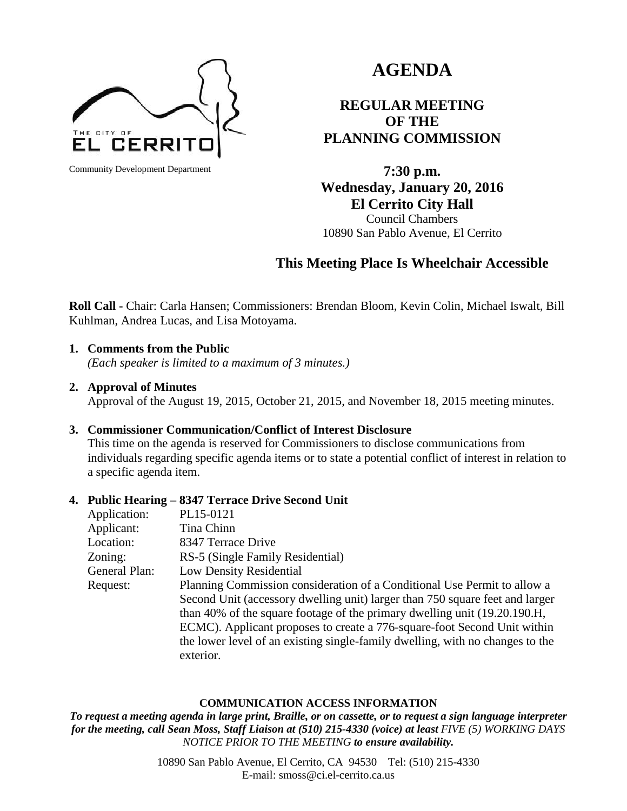

**AGENDA** 

## **REGULAR MEETING OF THE PLANNING COMMISSION**

**7:30 p.m. Wednesday, January 20, 2016 El Cerrito City Hall** Council Chambers

10890 San Pablo Avenue, El Cerrito

# **This Meeting Place Is Wheelchair Accessible**

**Roll Call -** Chair: Carla Hansen; Commissioners: Brendan Bloom, Kevin Colin, Michael Iswalt, Bill Kuhlman, Andrea Lucas, and Lisa Motoyama.

## **1. Comments from the Public**

*(Each speaker is limited to a maximum of 3 minutes.)*

## **2. Approval of Minutes**

Approval of the August 19, 2015, October 21, 2015, and November 18, 2015 meeting minutes.

## **3. Commissioner Communication/Conflict of Interest Disclosure**

This time on the agenda is reserved for Commissioners to disclose communications from individuals regarding specific agenda items or to state a potential conflict of interest in relation to a specific agenda item.

## **4. Public Hearing – 8347 Terrace Drive Second Unit**

| Application:  | PL15-0121                                                                     |
|---------------|-------------------------------------------------------------------------------|
| Applicant:    | Tina Chinn                                                                    |
| Location:     | 8347 Terrace Drive                                                            |
| Zoning:       | RS-5 (Single Family Residential)                                              |
| General Plan: | Low Density Residential                                                       |
| Request:      | Planning Commission consideration of a Conditional Use Permit to allow a      |
|               | Second Unit (accessory dwelling unit) larger than 750 square feet and larger  |
|               | than 40% of the square footage of the primary dwelling unit (19.20.190.H,     |
|               | ECMC). Applicant proposes to create a 776-square-foot Second Unit within      |
|               | the lower level of an existing single-family dwelling, with no changes to the |
|               | exterior.                                                                     |

#### **COMMUNICATION ACCESS INFORMATION**

*To request a meeting agenda in large print, Braille, or on cassette, or to request a sign language interpreter for the meeting, call Sean Moss, Staff Liaison at (510) 215-4330 (voice) at least FIVE (5) WORKING DAYS NOTICE PRIOR TO THE MEETING to ensure availability.*